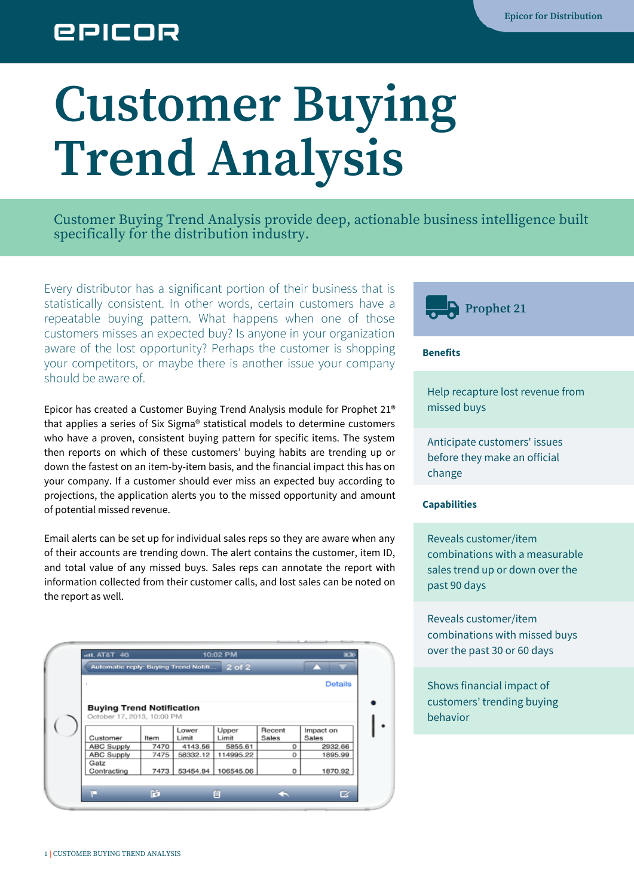## **EPICOR**

# **Customer Buying Trend Analysis**

Customer Buying Trend Analysis provide deep, actionable business intelligence built specifically for the distribution industry.

Every distributor has a significant portion of their business that is statistically consistent. In other words, certain customers have a repeatable buying pattern. What happens when one of those customers misses an expected buy? Is anyone in your organization aware of the lost opportunity? Perhaps the customer is shopping your competitors, or maybe there is another issue your company should be aware of.

Epicor has created a Customer Buying Trend Analysis module for Prophet 21® that applies a series of Six Sigma® statistical models to determine customers who have a proven, consistent buying pattern for specific items. The system then reports on which of these customers' buying habits are trending up or down the fastest on an item-by-item basis, and the financial impact this has on your company. If a customer should ever miss an expected buy according to projections, the application alerts you to the missed opportunity and amount of potential missed revenue.

Email alerts can be set up for individual sales reps so they are aware when any of their accounts are trending down. The alert contains the customer, item ID, and total value of any missed buys. Sales reps can annotate the report with information collected from their customer calls, and lost sales can be noted on the report as well.

|                                                                                                         |              | Automatic reply: Buying Trend Notifi | $2$ of $2$       |            |                  |  |  |  |  |  |
|---------------------------------------------------------------------------------------------------------|--------------|--------------------------------------|------------------|------------|------------------|--|--|--|--|--|
|                                                                                                         |              |                                      |                  |            | <b>Details</b>   |  |  |  |  |  |
| <b>Buying Trend Notification</b><br>October 17, 2013, 10:00 PM<br>Upper<br>Recent<br>Impact on<br>Lower |              |                                      |                  |            |                  |  |  |  |  |  |
| Customer<br>ABC Supply                                                                                  | Item<br>7470 | Limit<br>4143.56                     | Limit<br>5855.61 | Sales<br>o | Sales<br>2932.66 |  |  |  |  |  |
| <b>ABC Supply</b>                                                                                       | 7475         | 58332.12                             | 114995.22        | о          | 1895.99          |  |  |  |  |  |
| Gatz<br>Contracting                                                                                     | 7473         | 53454.94                             | 106545.06        | o          | 1870.92          |  |  |  |  |  |



#### **Benefits**

Help recapture lost revenue from missed buys

Anticipate customers' issues before they make an official change

#### **Capabilities**

Reveals customer/item combinations with a measurable sales trend up or down over the past 90 days

Reveals customer/item combinations with missed buys over the past 30 or 60 days

Shows financial impact of customers' trending buying behavior